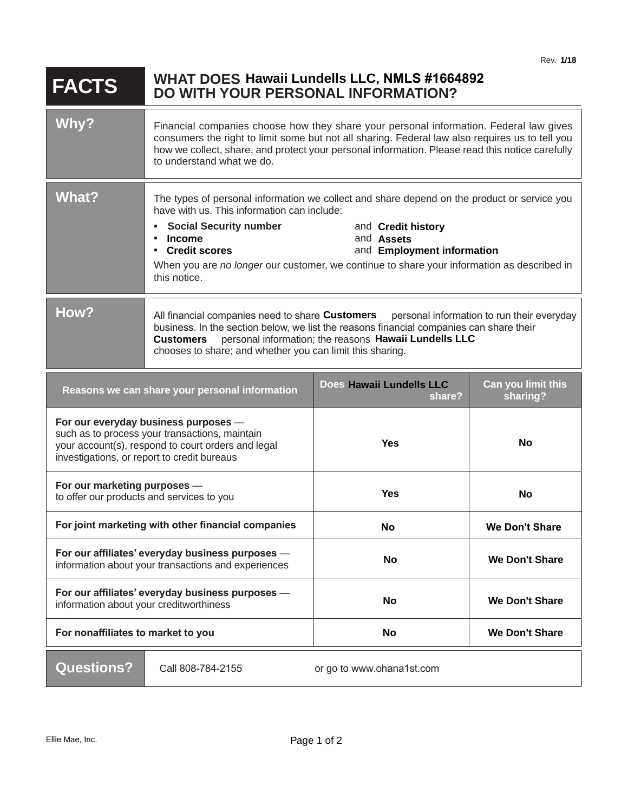| <b>FACTS</b>                                                                                                                                                                                | <b>WHAT DOES Hawaii Lundells LLC, NMLS #1664892</b><br><b>DO WITH YOUR PERSONAL INFORMATION?</b>                                                                                                                                                                                                                                       |                                                                                                                                                                                                                                                                    |                                |
|---------------------------------------------------------------------------------------------------------------------------------------------------------------------------------------------|----------------------------------------------------------------------------------------------------------------------------------------------------------------------------------------------------------------------------------------------------------------------------------------------------------------------------------------|--------------------------------------------------------------------------------------------------------------------------------------------------------------------------------------------------------------------------------------------------------------------|--------------------------------|
| Why?                                                                                                                                                                                        | Financial companies choose how they share your personal information. Federal law gives<br>consumers the right to limit some but not all sharing. Federal law also requires us to tell you<br>how we collect, share, and protect your personal information. Please read this notice carefully<br>to understand what we do.              |                                                                                                                                                                                                                                                                    |                                |
| What?                                                                                                                                                                                       | have with us. This information can include:<br><b>Social Security number</b><br>٠<br><b>Income</b><br>٠.<br>• Credit scores<br>this notice.                                                                                                                                                                                            | The types of personal information we collect and share depend on the product or service you<br>and Credit history<br>and <b>Assets</b><br>and Employment information<br>When you are no longer our customer, we continue to share your information as described in |                                |
| How?                                                                                                                                                                                        | All financial companies need to share <b>Customers</b> personal information to run their everyday<br>business. In the section below, we list the reasons financial companies can share their<br>personal information; the reasons Hawaii Lundells LLC<br><b>Customers</b><br>chooses to share; and whether you can limit this sharing. |                                                                                                                                                                                                                                                                    |                                |
|                                                                                                                                                                                             | Reasons we can share your personal information                                                                                                                                                                                                                                                                                         | Does Hawaii Lundells LLC<br>share?                                                                                                                                                                                                                                 | Can you limit this<br>sharing? |
| For our everyday business purposes -<br>such as to process your transactions, maintain<br>your account(s), respond to court orders and legal<br>investigations, or report to credit bureaus |                                                                                                                                                                                                                                                                                                                                        | <b>Yes</b>                                                                                                                                                                                                                                                         | <b>No</b>                      |
| For our marketing purposes -<br>to offer our products and services to you                                                                                                                   |                                                                                                                                                                                                                                                                                                                                        | <b>Yes</b>                                                                                                                                                                                                                                                         | No                             |
| For joint marketing with other financial companies                                                                                                                                          |                                                                                                                                                                                                                                                                                                                                        | <b>No</b>                                                                                                                                                                                                                                                          | <b>We Don't Share</b>          |
| For our affiliates' everyday business purposes -<br>information about your transactions and experiences                                                                                     |                                                                                                                                                                                                                                                                                                                                        | <b>No</b>                                                                                                                                                                                                                                                          | <b>We Don't Share</b>          |
| For our affiliates' everyday business purposes -<br>information about your creditworthiness                                                                                                 |                                                                                                                                                                                                                                                                                                                                        | No                                                                                                                                                                                                                                                                 | <b>We Don't Share</b>          |
| For nonaffiliates to market to you                                                                                                                                                          |                                                                                                                                                                                                                                                                                                                                        | No                                                                                                                                                                                                                                                                 | <b>We Don't Share</b>          |
| <b>Questions?</b>                                                                                                                                                                           | Call 808-784-2155                                                                                                                                                                                                                                                                                                                      | or go to www.ohana1st.com                                                                                                                                                                                                                                          |                                |